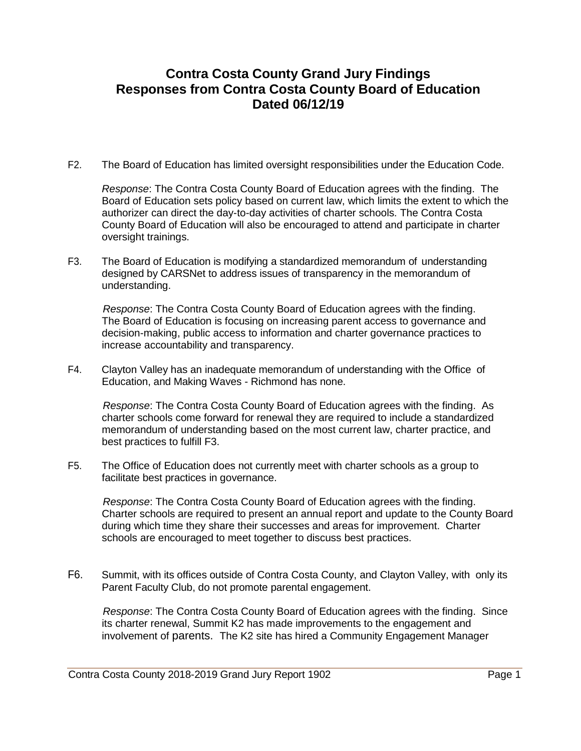## **Contra Costa County Grand Jury Findings Responses from Contra Costa County Board of Education Dated 06/12/19**

F2. The Board of Education has limited oversight responsibilities under the Education Code.

*Response*: The Contra Costa County Board of Education agrees with the finding. The Board of Education sets policy based on current law, which limits the extent to which the authorizer can direct the day-to-day activities of charter schools. The Contra Costa County Board of Education will also be encouraged to attend and participate in charter oversight trainings.

F3. The Board of Education is modifying a standardized memorandum of understanding designed by CARSNet to address issues of transparency in the memorandum of understanding.

*Response*: The Contra Costa County Board of Education agrees with the finding. The Board of Education is focusing on increasing parent access to governance and decision-making, public access to information and charter governance practices to increase accountability and transparency.

F4. Clayton Valley has an inadequate memorandum of understanding with the Office of Education, and Making Waves - Richmond has none.

*Response*: The Contra Costa County Board of Education agrees with the finding. As charter schools come forward for renewal they are required to include a standardized memorandum of understanding based on the most current law, charter practice, and best practices to fulfill F3.

F5. The Office of Education does not currently meet with charter schools as a group to facilitate best practices in governance.

*Response*: The Contra Costa County Board of Education agrees with the finding. Charter schools are required to present an annual report and update to the County Board during which time they share their successes and areas for improvement. Charter schools are encouraged to meet together to discuss best practices.

F6. Summit, with its offices outside of Contra Costa County, and Clayton Valley, with only its Parent Faculty Club, do not promote parental engagement.

*Response*: The Contra Costa County Board of Education agrees with the finding. Since its charter renewal, Summit K2 has made improvements to the engagement and involvement of parents. The K2 site has hired a Community Engagement Manager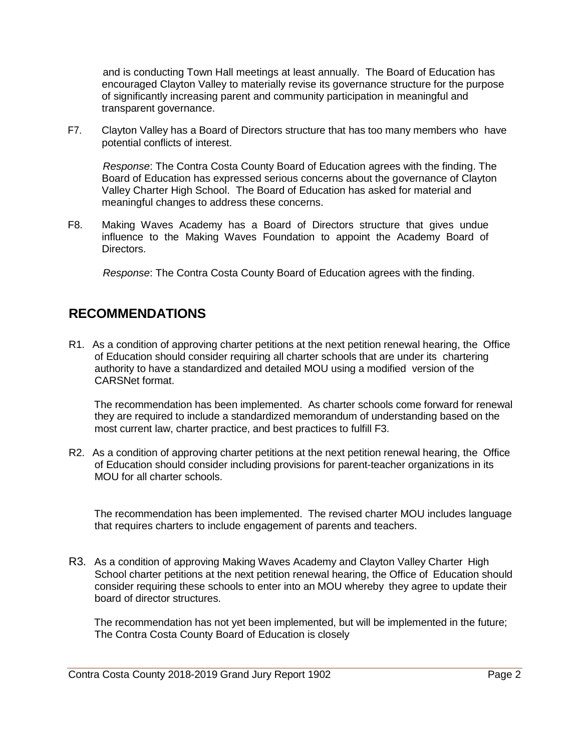and is conducting Town Hall meetings at least annually. The Board of Education has encouraged Clayton Valley to materially revise its governance structure for the purpose of significantly increasing parent and community participation in meaningful and transparent governance.

F7. Clayton Valley has a Board of Directors structure that has too many members who have potential conflicts of interest.

*Response*: The Contra Costa County Board of Education agrees with the finding. The Board of Education has expressed serious concerns about the governance of Clayton Valley Charter High School. The Board of Education has asked for material and meaningful changes to address these concerns.

F8. Making Waves Academy has a Board of Directors structure that gives undue influence to the Making Waves Foundation to appoint the Academy Board of Directors.

*Response*: The Contra Costa County Board of Education agrees with the finding.

## **RECOMMENDATIONS**

R1. As a condition of approving charter petitions at the next petition renewal hearing, the Office of Education should consider requiring all charter schools that are under its chartering authority to have a standardized and detailed MOU using a modified version of the CARSNet format.

The recommendation has been implemented. As charter schools come forward for renewal they are required to include a standardized memorandum of understanding based on the most current law, charter practice, and best practices to fulfill F3.

R2. As a condition of approving charter petitions at the next petition renewal hearing, the Office of Education should consider including provisions for parent-teacher organizations in its MOU for all charter schools.

The recommendation has been implemented. The revised charter MOU includes language that requires charters to include engagement of parents and teachers.

R3. As a condition of approving Making Waves Academy and Clayton Valley Charter High School charter petitions at the next petition renewal hearing, the Office of Education should consider requiring these schools to enter into an MOU whereby they agree to update their board of director structures.

The recommendation has not yet been implemented, but will be implemented in the future; The Contra Costa County Board of Education is closely